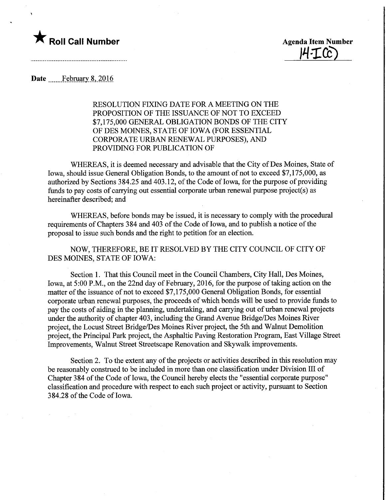## **The Soli Call Number Agents Contained Agents Agents Item Number**

14·ICC)

Date ....... February 8, 2016

RESOLUTION FIXING DATE FOR A MEETING ON THE PROPOSITION OF THE ISSUANCE OF NOT TO EXCEED \$7,175,000 GENERAL OBLIGATION BONDS OF THE CITY OF DES MOINES, STATE OF IOWA (FOR ESSENTIAL CORPORATE URBAN RENEWAL PURPOSES), AND PROVIDING FOR PUBLICATION OF

WHEREAS, it is deemed necessary and advisable that the City of Des Moines, State of Iowa, should issue General Obligation Bonds, to the amount of not to exceed \$7,175,000, as authorized by Sections 384.25 and 403.12, of the Code of Iowa, for the purpose of providing funds to pay costs of carrying out essential corporate urban renewal purpose project(s) as hereinafter described; and

WHEREAS, before bonds may be issued, it is necessary to comply with the procedural requirements of Chapters 384 and 403 of the Code of Iowa, and to publish a notice of the proposal to issue such bonds and the right to petition for an election.

NOW, THEREFORE, BE IT RESOLVED BY THE CITY COUNCIL OF CITY OF DES MOINES, STATE OF IOWA:

Section 1. That this Council meet in the Council Chambers, City Hall, Des Moines, Iowa, at 5:00 P.M., on the 22nd day of February, 2016, for the purpose of taking action on the matter of the issuance of not to exceed \$7,175,000 General Obligation Bonds, for essential corporate urban renewal purposes, the proceeds of which bonds will be used to provide funds to pay the costs of aiding in the planning, undertaking, and carrying out of urban renewal projects under the authority of chapter 403, including the Grand Avenue Bridge/Des Moines River project, the Locust Street Bridge/Des Moines River project, the 5th and Walnut Demolition project, the Principal Park project, the Asphaltic Paving Restoration Program, East Village Street Improvements, Walnut Street Streetscape Renovation and Skywalk improvements.

Section 2. To the extent any of the projects or activities described in this resolution may be reasonably construed to be included in more than one classification under Division III of Chapter 384 of the Code of Iowa, the Council hereby elects the "essential corporate purpose" classification and procedure with respect to each such project or activity, pursuant to Section 384.28 of the Code of Iowa.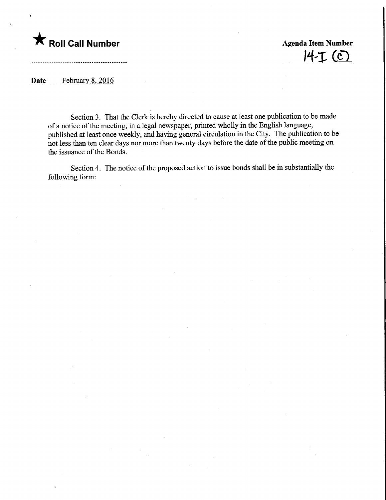

4-1 (C)

Date ....... February 8, 2016

Section 3. That the Clerk is hereby directed to cause at least one publication to be made of a notice of the meeting, in a legal newspaper, printed wholly in the English language, published at least once weekly, and having general circulation in the City. The publication to be not less than ten clear days nor more than twenty days before the date of the public meeting on the issuance of the Bonds.

Section 4. The notice of the proposed action to issue bonds shall be in substantially the following form: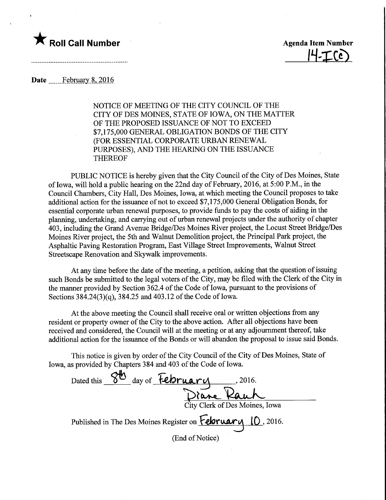

<u>14-Ice)</u>

## Date ............February 8, 2016

NOTICE OF MEETING OF THE CITY COUNCIL OF THE CITY OF DES MOINES, STATE OF IOWA, ON THE MATTER OF THE PROPOSED ISSUANCE OF NOT TO EXCEED \$7,175,000 GENERAL OBLIGATION BONDS OF THE CITY (FOR ESSENTIAL CORPORATE URBAN RENEWAL PURPOSES), AND THE HEARING ON THE ISSUANCE THEREOF

PUBLIC NOTICE is hereby given that the City Council of the City of Des Moines, State of Iowa, will hold a public hearing on the 22nd day of February, 2016, at 5:00 P.M., in the Council Chambers, City Hall, Des Moines, Iowa, at which meeting the Council proposes to take additional action for the issuance of not to exceed \$7,175,000 General Obligation Bonds, for essential corporate urban renewal purposes, to provide funds to pay the costs of aiding in the planning, undertaking, and carrying out of urban renewal projects under the authority of chapter 403, including the Grand Avenue Bridge/Des Moines River project, the Locust Street Bridge/Des Moines River project, the 5th and Walnut Demolition project, the Principal Park project, the Asphaltic Paving Restoration Program, East Village Street Improvements, Walnut Street Streetscape Renovation and Skywalk improvements.

At any time before the date of the meeting, a petition, asking that the question of issuing such Bonds be submitted to the legal voters of the City, may be filed with the Clerk of the City in the manner provided by Section 362.4 of the Code of Iowa, pursuant to the provisions of Sections 3 84.24(3)(q), 384.25 and 403.12 of the Code of Iowa.

At the above meeting the Council shall receive oral or written objections from any resident or property owner of the City to the above action. After all objections have been received and considered, the Council will at the meeting or at any adjournment thereof, take additional action for the issuance of the Bonds or will abandon the proposal to issue said Bonds.

This notice is given by order of the City Council of the City of Des Moines, State of Iowa, as provided by Chapters 384 and 403 of the Code of Iowa.

Dated this  $\frac{86}{100}$  day of February Diane Rauh City Clerk ofDes Moines, Iowa Published in The Des Moines Register on **February** 10, 2016. (End of Notice)